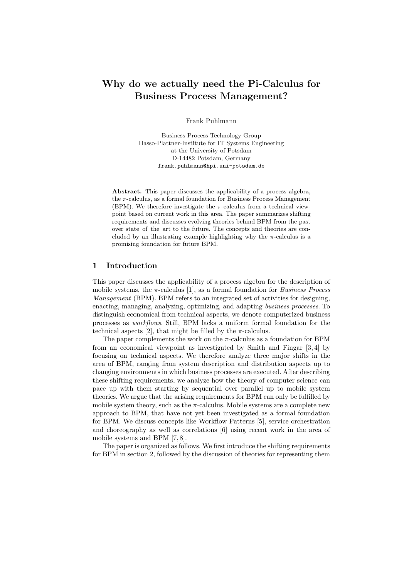# Why do we actually need the Pi-Calculus for Business Process Management?

Frank Puhlmann

Business Process Technology Group Hasso-Plattner-Institute for IT Systems Engineering at the University of Potsdam D-14482 Potsdam, Germany frank.puhlmann@hpi.uni-potsdam.de

Abstract. This paper discusses the applicability of a process algebra, the  $\pi$ -calculus, as a formal foundation for Business Process Management (BPM). We therefore investigate the  $\pi$ -calculus from a technical viewpoint based on current work in this area. The paper summarizes shifting requirements and discusses evolving theories behind BPM from the past over state–of–the–art to the future. The concepts and theories are concluded by an illustrating example highlighting why the  $\pi$ -calculus is a promising foundation for future BPM.

# 1 Introduction

This paper discusses the applicability of a process algebra for the description of mobile systems, the  $\pi$ -calculus [1], as a formal foundation for *Business Process* Management (BPM). BPM refers to an integrated set of activities for designing, enacting, managing, analyzing, optimizing, and adapting business processes. To distinguish economical from technical aspects, we denote computerized business processes as workflows. Still, BPM lacks a uniform formal foundation for the technical aspects [2], that might be filled by the  $\pi$ -calculus.

The paper complements the work on the  $\pi$ -calculus as a foundation for BPM from an economical viewpoint as investigated by Smith and Fingar [3, 4] by focusing on technical aspects. We therefore analyze three major shifts in the area of BPM, ranging from system description and distribution aspects up to changing environments in which business processes are executed. After describing these shifting requirements, we analyze how the theory of computer science can pace up with them starting by sequential over parallel up to mobile system theories. We argue that the arising requirements for BPM can only be fulfilled by mobile system theory, such as the  $\pi$ -calculus. Mobile systems are a complete new approach to BPM, that have not yet been investigated as a formal foundation for BPM. We discuss concepts like Workflow Patterns [5], service orchestration and choreography as well as correlations [6] using recent work in the area of mobile systems and BPM [7, 8].

The paper is organized as follows. We first introduce the shifting requirements for BPM in section 2, followed by the discussion of theories for representing them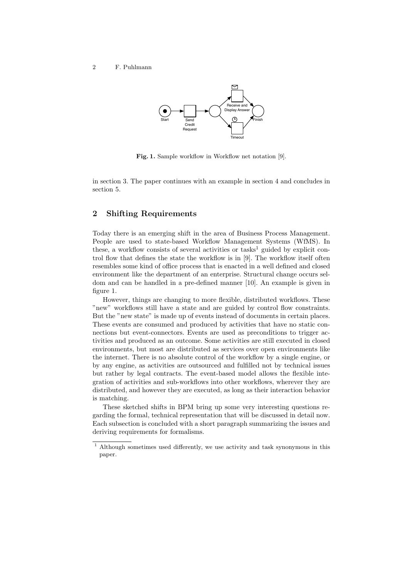

Fig. 1. Sample workflow in Workflow net notation [9].

in section 3. The paper continues with an example in section 4 and concludes in section 5.

# 2 Shifting Requirements

Today there is an emerging shift in the area of Business Process Management. People are used to state-based Workflow Management Systems (WfMS). In these, a workflow consists of several activities or tasks<sup>1</sup> guided by explicit control flow that defines the state the workflow is in [9]. The workflow itself often resembles some kind of office process that is enacted in a well defined and closed environment like the department of an enterprise. Structural change occurs seldom and can be handled in a pre-defined manner [10]. An example is given in figure 1.

However, things are changing to more flexible, distributed workflows. These "new" workflows still have a state and are guided by control flow constraints. But the "new state" is made up of events instead of documents in certain places. These events are consumed and produced by activities that have no static connections but event-connectors. Events are used as preconditions to trigger activities and produced as an outcome. Some activities are still executed in closed environments, but most are distributed as services over open environments like the internet. There is no absolute control of the workflow by a single engine, or by any engine, as activities are outsourced and fulfilled not by technical issues but rather by legal contracts. The event-based model allows the flexible integration of activities and sub-workflows into other workflows, wherever they are distributed, and however they are executed, as long as their interaction behavior is matching.

These sketched shifts in BPM bring up some very interesting questions regarding the formal, technical representation that will be discussed in detail now. Each subsection is concluded with a short paragraph summarizing the issues and deriving requirements for formalisms.

 $^{\rm 1}$  Although sometimes used differently, we use activity and task synonymous in this paper.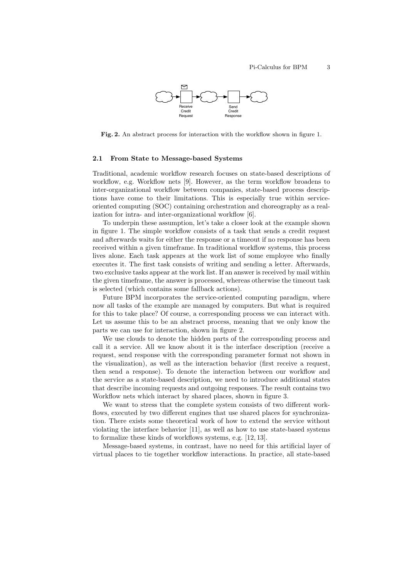

Fig. 2. An abstract process for interaction with the workflow shown in figure 1.

#### 2.1 From State to Message-based Systems

Traditional, academic workflow research focuses on state-based descriptions of workflow, e.g. Workflow nets [9]. However, as the term workflow broadens to inter-organizational workflow between companies, state-based process descriptions have come to their limitations. This is especially true within serviceoriented computing (SOC) containing orchestration and choreography as a realization for intra- and inter-organizational workflow [6].

To underpin these assumption, let's take a closer look at the example shown in figure 1. The simple workflow consists of a task that sends a credit request and afterwards waits for either the response or a timeout if no response has been received within a given timeframe. In traditional workflow systems, this process lives alone. Each task appears at the work list of some employee who finally executes it. The first task consists of writing and sending a letter. Afterwards, two exclusive tasks appear at the work list. If an answer is received by mail within the given timeframe, the answer is processed, whereas otherwise the timeout task is selected (which contains some fallback actions).

Future BPM incorporates the service-oriented computing paradigm, where now all tasks of the example are managed by computers. But what is required for this to take place? Of course, a corresponding process we can interact with. Let us assume this to be an abstract process, meaning that we only know the parts we can use for interaction, shown in figure 2.

We use clouds to denote the hidden parts of the corresponding process and call it a service. All we know about it is the interface description (receive a request, send response with the corresponding parameter format not shown in the visualization), as well as the interaction behavior (first receive a request, then send a response). To denote the interaction between our workflow and the service as a state-based description, we need to introduce additional states that describe incoming requests and outgoing responses. The result contains two Workflow nets which interact by shared places, shown in figure 3.

We want to stress that the complete system consists of two different workflows, executed by two different engines that use shared places for synchronization. There exists some theoretical work of how to extend the service without violating the interface behavior [11], as well as how to use state-based systems to formalize these kinds of workflows systems, e.g. [12, 13].

Message-based systems, in contrast, have no need for this artificial layer of virtual places to tie together workflow interactions. In practice, all state-based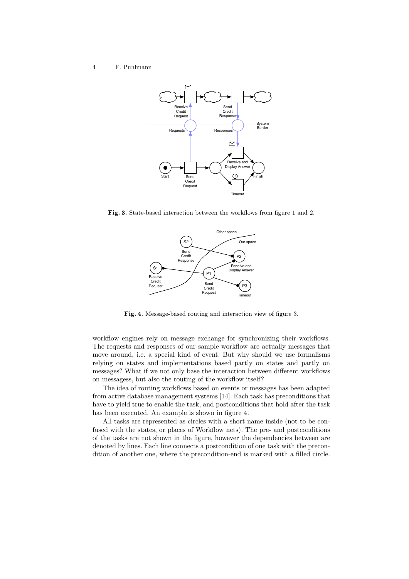

Fig. 3. State-based interaction between the workflows from figure 1 and 2.



Fig. 4. Message-based routing and interaction view of figure 3.

workflow engines rely on message exchange for synchronizing their workflows. The requests and responses of our sample workflow are actually messages that move around, i.e. a special kind of event. But why should we use formalisms relying on states and implementations based partly on states and partly on messages? What if we not only base the interaction between different workflows on messagess, but also the routing of the workflow itself?

The idea of routing workflows based on events or messages has been adapted from active database management systems [14]. Each task has preconditions that have to yield true to enable the task, and postconditions that hold after the task has been executed. An example is shown in figure 4.

All tasks are represented as circles with a short name inside (not to be confused with the states, or places of Workflow nets). The pre- and postconditions of the tasks are not shown in the figure, however the dependencies between are denoted by lines. Each line connects a postcondition of one task with the precondition of another one, where the precondition-end is marked with a filled circle.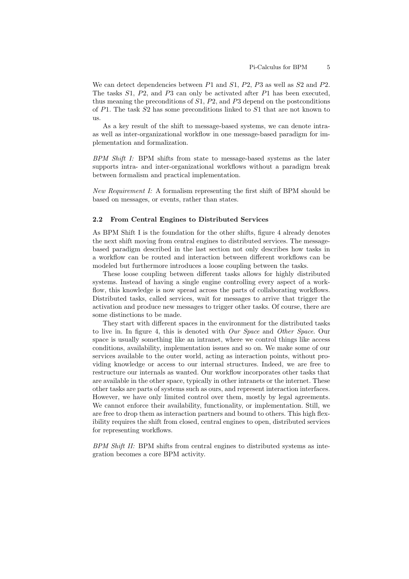We can detect dependencies between  $P1$  and  $S1$ ,  $P2$ ,  $P3$  as well as  $S2$  and  $P2$ . The tasks S1, P2, and P3 can only be activated after P1 has been executed, thus meaning the preconditions of  $S1$ ,  $P2$ , and  $P3$  depend on the postconditions of  $P1$ . The task  $S2$  has some preconditions linked to  $S1$  that are not known to us.

As a key result of the shift to message-based systems, we can denote intraas well as inter-organizational workflow in one message-based paradigm for implementation and formalization.

BPM Shift I: BPM shifts from state to message-based systems as the later supports intra- and inter-organizational workflows without a paradigm break between formalism and practical implementation.

New Requirement I: A formalism representing the first shift of BPM should be based on messages, or events, rather than states.

#### 2.2 From Central Engines to Distributed Services

As BPM Shift I is the foundation for the other shifts, figure 4 already denotes the next shift moving from central engines to distributed services. The messagebased paradigm described in the last section not only describes how tasks in a workflow can be routed and interaction between different workflows can be modeled but furthermore introduces a loose coupling between the tasks.

These loose coupling between different tasks allows for highly distributed systems. Instead of having a single engine controlling every aspect of a workflow, this knowledge is now spread across the parts of collaborating workflows. Distributed tasks, called services, wait for messages to arrive that trigger the activation and produce new messages to trigger other tasks. Of course, there are some distinctions to be made.

They start with different spaces in the environment for the distributed tasks to live in. In figure 4, this is denoted with Our Space and Other Space. Our space is usually something like an intranet, where we control things like access conditions, availability, implementation issues and so on. We make some of our services available to the outer world, acting as interaction points, without providing knowledge or access to our internal structures. Indeed, we are free to restructure our internals as wanted. Our workflow incorporates other tasks that are available in the other space, typically in other intranets or the internet. These other tasks are parts of systems such as ours, and represent interaction interfaces. However, we have only limited control over them, mostly by legal agreements. We cannot enforce their availability, functionality, or implementation. Still, we are free to drop them as interaction partners and bound to others. This high flexibility requires the shift from closed, central engines to open, distributed services for representing workflows.

BPM Shift II: BPM shifts from central engines to distributed systems as integration becomes a core BPM activity.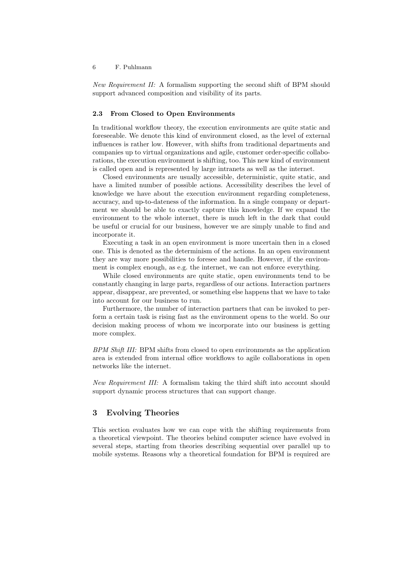New Requirement II: A formalism supporting the second shift of BPM should support advanced composition and visibility of its parts.

# 2.3 From Closed to Open Environments

In traditional workflow theory, the execution environments are quite static and foreseeable. We denote this kind of environment closed, as the level of external influences is rather low. However, with shifts from traditional departments and companies up to virtual organizations and agile, customer order-specific collaborations, the execution environment is shifting, too. This new kind of environment is called open and is represented by large intranets as well as the internet.

Closed environments are usually accessible, deterministic, quite static, and have a limited number of possible actions. Accessibility describes the level of knowledge we have about the execution environment regarding completeness, accuracy, and up-to-dateness of the information. In a single company or department we should be able to exactly capture this knowledge. If we expand the environment to the whole internet, there is much left in the dark that could be useful or crucial for our business, however we are simply unable to find and incorporate it.

Executing a task in an open environment is more uncertain then in a closed one. This is denoted as the determinism of the actions. In an open environment they are way more possibilities to foresee and handle. However, if the environment is complex enough, as e.g. the internet, we can not enforce everything.

While closed environments are quite static, open environments tend to be constantly changing in large parts, regardless of our actions. Interaction partners appear, disappear, are prevented, or something else happens that we have to take into account for our business to run.

Furthermore, the number of interaction partners that can be invoked to perform a certain task is rising fast as the environment opens to the world. So our decision making process of whom we incorporate into our business is getting more complex.

BPM Shift III: BPM shifts from closed to open environments as the application area is extended from internal office workflows to agile collaborations in open networks like the internet.

New Requirement III: A formalism taking the third shift into account should support dynamic process structures that can support change.

# 3 Evolving Theories

This section evaluates how we can cope with the shifting requirements from a theoretical viewpoint. The theories behind computer science have evolved in several steps, starting from theories describing sequential over parallel up to mobile systems. Reasons why a theoretical foundation for BPM is required are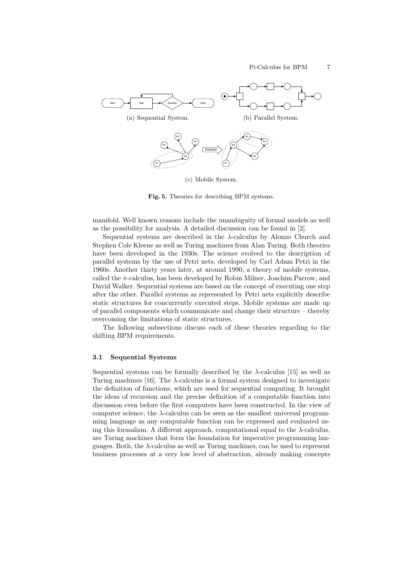

(c) Mobile System.

Fig. 5. Theories for describing BPM systems.

manifold. Well known reasons include the unambiguity of formal models as well as the possibility for analysis. A detailed discussion can be found in [2].

Sequential systems are described in the  $\lambda$ -calculus by Alonzo Church and Stephen Cole Kleene as well as Turing machines from Alan Turing. Both theories have been developed in the 1930s. The science evolved to the description of parallel systems by the use of Petri nets, developed by Carl Adam Petri in the 1960s. Another thirty years later, at around 1990, a theory of mobile systems, called the  $\pi$ -calculus, has been developed by Robin Milner, Joachim Parrow, and David Walker. Sequential systems are based on the concept of executing one step after the other. Parallel systems as represented by Petri nets explicitly describe static structures for concurrently executed steps. Mobile systems are made up of parallel components which communicate and change their structure – thereby overcoming the limitations of static structures.

The following subsections discuss each of these theories regarding to the shifting BPM requirements.

#### 3.1 Sequential Systems

Sequential systems can be formally described by the  $\lambda$ -calculus [15] as well as Turing machines [16]. The  $\lambda$ -calculus is a formal system designed to investigate the definition of functions, which are used for sequential computing. It brought the ideas of recursion and the precise definition of a computable function into discussion even before the first computers have been constructed. In the view of computer science, the λ-calculus can be seen as the smallest universal programming language as any computable function can be expressed and evaluated using this formalism. A different approach, computational equal to the  $\lambda$ -calculus, are Turing machines that form the foundation for imperative programming languages. Both, the λ-calculus as well as Turing machines, can be used to represent business processes at a very low level of abstraction, already making concepts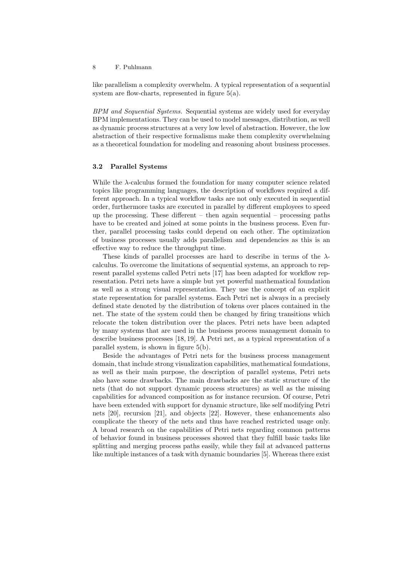like parallelism a complexity overwhelm. A typical representation of a sequential system are flow-charts, represented in figure  $5(a)$ .

BPM and Sequential Systems. Sequential systems are widely used for everyday BPM implementations. They can be used to model messages, distribution, as well as dynamic process structures at a very low level of abstraction. However, the low abstraction of their respective formalisms make them complexity overwhelming as a theoretical foundation for modeling and reasoning about business processes.

#### 3.2 Parallel Systems

While the  $\lambda$ -calculus formed the foundation for many computer science related topics like programming languages, the description of workflows required a different approach. In a typical workflow tasks are not only executed in sequential order, furthermore tasks are executed in parallel by different employees to speed up the processing. These different  $-$  then again sequential  $-$  processing paths have to be created and joined at some points in the business process. Even further, parallel processing tasks could depend on each other. The optimization of business processes usually adds parallelism and dependencies as this is an effective way to reduce the throughput time.

These kinds of parallel processes are hard to describe in terms of the  $\lambda$ calculus. To overcome the limitations of sequential systems, an approach to represent parallel systems called Petri nets [17] has been adapted for workflow representation. Petri nets have a simple but yet powerful mathematical foundation as well as a strong visual representation. They use the concept of an explicit state representation for parallel systems. Each Petri net is always in a precisely defined state denoted by the distribution of tokens over places contained in the net. The state of the system could then be changed by firing transitions which relocate the token distribution over the places. Petri nets have been adapted by many systems that are used in the business process management domain to describe business processes [18, 19]. A Petri net, as a typical representation of a parallel system, is shown in figure 5(b).

Beside the advantages of Petri nets for the business process management domain, that include strong visualization capabilities, mathematical foundations, as well as their main purpose, the description of parallel systems, Petri nets also have some drawbacks. The main drawbacks are the static structure of the nets (that do not support dynamic process structures) as well as the missing capabilities for advanced composition as for instance recursion. Of course, Petri have been extended with support for dynamic structure, like self modifying Petri nets [20], recursion [21], and objects [22]. However, these enhancements also complicate the theory of the nets and thus have reached restricted usage only. A broad research on the capabilities of Petri nets regarding common patterns of behavior found in business processes showed that they fulfill basic tasks like splitting and merging process paths easily, while they fail at advanced patterns like multiple instances of a task with dynamic boundaries [5]. Whereas there exist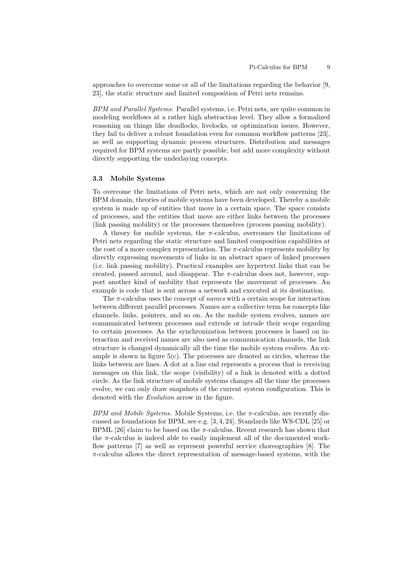approaches to overcome some or all of the limitations regarding the behavior [9, 23], the static structure and limited composition of Petri nets remains.

BPM and Parallel Systems. Parallel systems, i.e. Petri nets, are quite common in modeling workflows at a rather high abstraction level. They allow a formalized reasoning on things like deadlocks, livelocks, or optimization issues. However, they fail to deliver a robust foundation even for common workflow patterns [23], as well as supporting dynamic process structures. Distribution and messages required for BPM systems are partly possible, but add more complexity without directly supporting the underlaying concepts.

#### 3.3 Mobile Systems

To overcome the limitations of Petri nets, which are not only concerning the BPM domain, theories of mobile systems have been developed. Thereby a mobile system is made up of entities that move in a certain space. The space consists of processes, and the entities that move are either links between the processes (link passing mobility) or the processes themselves (process passing mobility).

A theory for mobile systems, the  $\pi$ -calculus, overcomes the limitations of Petri nets regarding the static structure and limited composition capabilities at the cost of a more complex representation. The  $\pi$ -calculus represents mobility by directly expressing movements of links in an abstract space of linked processes (i.e. link passing mobility). Practical examples are hypertext links that can be created, passed around, and disappear. The  $\pi$ -calculus does not, however, support another kind of mobility that represents the movement of processes. An example is code that is sent across a network and executed at its destination.

The  $\pi$ -calculus uses the concept of *names* with a certain scope for interaction between different parallel processes. Names are a collective term for concepts like channels, links, pointers, and so on. As the mobile system evolves, names are communicated between processes and extrude or intrude their scope regarding to certain processes. As the synchronization between processes is based on interaction and received names are also used as communication channels, the link structure is changed dynamically all the time the mobile system evolves. An example is shown in figure  $5(c)$ . The processes are denoted as circles, whereas the links between are lines. A dot at a line end represents a process that is receiving messages on this link, the scope (visibility) of a link is denoted with a dotted circle. As the link structure of mobile systems changes all the time the processes evolve, we can only draw snapshots of the current system configuration. This is denoted with the Evolution arrow in the figure.

BPM and Mobile Systems. Mobile Systems, i.e. the  $\pi$ -calculus, are recently discussed as foundations for BPM, see e.g. [3, 4, 24]. Standards like WS-CDL [25] or BPML [26] claim to be based on the  $\pi$ -calculus. Recent research has shown that the  $\pi$ -calculus is indeed able to easily implement all of the documented workflow patterns [7] as well as represent powerful service choreographies [8]. The  $\pi$ -calculus allows the direct representation of message-based systems, with the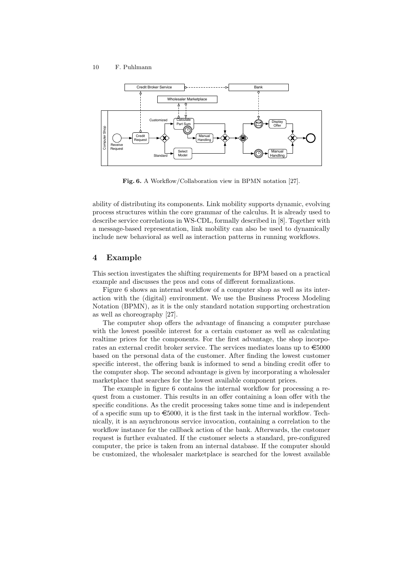

Fig. 6. A Workflow/Collaboration view in BPMN notation [27].

ability of distributing its components. Link mobility supports dynamic, evolving process structures within the core grammar of the calculus. It is already used to describe service correlations in WS-CDL, formally described in [8]. Together with a message-based representation, link mobility can also be used to dynamically include new behavioral as well as interaction patterns in running workflows.

# 4 Example

This section investigates the shifting requirements for BPM based on a practical example and discusses the pros and cons of different formalizations.

Figure 6 shows an internal workflow of a computer shop as well as its interaction with the (digital) environment. We use the Business Process Modeling Notation (BPMN), as it is the only standard notation supporting orchestration as well as choreography [27].

The computer shop offers the advantage of financing a computer purchase with the lowest possible interest for a certain customer as well as calculating realtime prices for the components. For the first advantage, the shop incorporates an external credit broker service. The services mediates loans up to  $\epsilon$ 5000 based on the personal data of the customer. After finding the lowest customer specific interest, the offering bank is informed to send a binding credit offer to the computer shop. The second advantage is given by incorporating a wholesaler marketplace that searches for the lowest available component prices.

The example in figure 6 contains the internal workflow for processing a request from a customer. This results in an offer containing a loan offer with the specific conditions. As the credit processing takes some time and is independent of a specific sum up to  $\epsilon$ 5000, it is the first task in the internal workflow. Technically, it is an asynchronous service invocation, containing a correlation to the workflow instance for the callback action of the bank. Afterwards, the customer request is further evaluated. If the customer selects a standard, pre-configured computer, the price is taken from an internal database. If the computer should be customized, the wholesaler marketplace is searched for the lowest available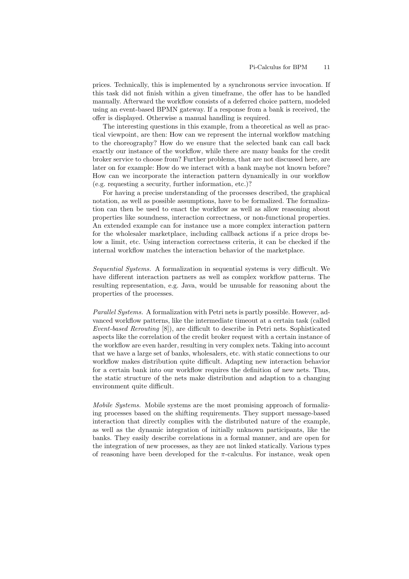prices. Technically, this is implemented by a synchronous service invocation. If this task did not finish within a given timeframe, the offer has to be handled manually. Afterward the workflow consists of a deferred choice pattern, modeled using an event-based BPMN gateway. If a response from a bank is received, the offer is displayed. Otherwise a manual handling is required.

The interesting questions in this example, from a theoretical as well as practical viewpoint, are then: How can we represent the internal workflow matching to the choreography? How do we ensure that the selected bank can call back exactly our instance of the workflow, while there are many banks for the credit broker service to choose from? Further problems, that are not discussed here, are later on for example: How do we interact with a bank maybe not known before? How can we incorporate the interaction pattern dynamically in our workflow (e.g. requesting a security, further information, etc.)?

For having a precise understanding of the processes described, the graphical notation, as well as possible assumptions, have to be formalized. The formalization can then be used to enact the workflow as well as allow reasoning about properties like soundness, interaction correctness, or non-functional properties. An extended example can for instance use a more complex interaction pattern for the wholesaler marketplace, including callback actions if a price drops below a limit, etc. Using interaction correctness criteria, it can be checked if the internal workflow matches the interaction behavior of the marketplace.

Sequential Systems. A formalization in sequential systems is very difficult. We have different interaction partners as well as complex workflow patterns. The resulting representation, e.g. Java, would be unusable for reasoning about the properties of the processes.

Parallel Systems. A formalization with Petri nets is partly possible. However, advanced workflow patterns, like the intermediate timeout at a certain task (called Event-based Rerouting [8]), are difficult to describe in Petri nets. Sophisticated aspects like the correlation of the credit broker request with a certain instance of the workflow are even harder, resulting in very complex nets. Taking into account that we have a large set of banks, wholesalers, etc. with static connections to our workflow makes distribution quite difficult. Adapting new interaction behavior for a certain bank into our workflow requires the definition of new nets. Thus, the static structure of the nets make distribution and adaption to a changing environment quite difficult.

Mobile Systems. Mobile systems are the most promising approach of formalizing processes based on the shifting requirements. They support message-based interaction that directly complies with the distributed nature of the example, as well as the dynamic integration of initially unknown participants, like the banks. They easily describe correlations in a formal manner, and are open for the integration of new processes, as they are not linked statically. Various types of reasoning have been developed for the  $\pi$ -calculus. For instance, weak open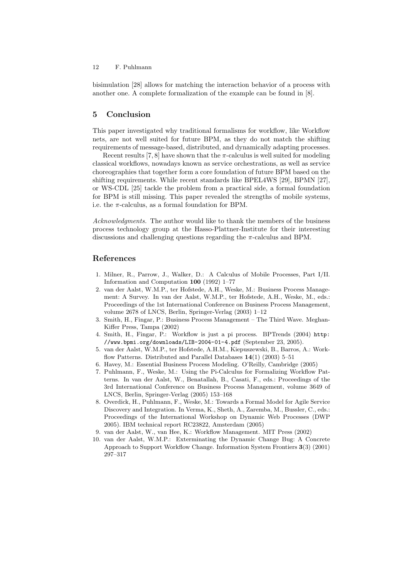bisimulation [28] allows for matching the interaction behavior of a process with another one. A complete formalization of the example can be found in [8].

# 5 Conclusion

This paper investigated why traditional formalisms for workflow, like Workflow nets, are not well suited for future BPM, as they do not match the shifting requirements of message-based, distributed, and dynamically adapting processes.

Recent results [7, 8] have shown that the  $\pi$ -calculus is well suited for modeling classical workflows, nowadays known as service orchestrations, as well as service choreographies that together form a core foundation of future BPM based on the shifting requirements. While recent standards like BPEL4WS [29], BPMN [27], or WS-CDL [25] tackle the problem from a practical side, a formal foundation for BPM is still missing. This paper revealed the strengths of mobile systems, i.e. the  $\pi$ -calculus, as a formal foundation for BPM.

Acknowledgments. The author would like to thank the members of the business process technology group at the Hasso-Plattner-Institute for their interesting discussions and challenging questions regarding the  $\pi$ -calculus and BPM.

# References

- 1. Milner, R., Parrow, J., Walker, D.: A Calculus of Mobile Processes, Part I/II. Information and Computation 100 (1992) 1–77
- 2. van der Aalst, W.M.P., ter Hofstede, A.H., Weske, M.: Business Process Management: A Survey. In van der Aalst, W.M.P., ter Hofstede, A.H., Weske, M., eds.: Proceedings of the 1st International Conference on Business Process Management, volume 2678 of LNCS, Berlin, Springer-Verlag (2003) 1–12
- 3. Smith, H., Fingar, P.: Business Process Management The Third Wave. Meghan-Kiffer Press, Tampa (2002)
- 4. Smith, H., Fingar, P.: Workflow is just a pi process. BPTrends (2004) http: //www.bpmi.org/downloads/LIB-2004-01-4.pdf (September 23, 2005).
- 5. van der Aalst, W.M.P., ter Hofstede, A.H.M., Kiepuszewski, B., Barros, A.: Workflow Patterns. Distributed and Parallel Databases  $14(1)$  (2003) 5–51
- 6. Havey, M.: Essential Business Process Modeling. O'Reilly, Cambridge (2005)
- 7. Puhlmann, F., Weske, M.: Using the Pi-Calculus for Formalizing Workflow Patterns. In van der Aalst, W., Benatallah, B., Casati, F., eds.: Proceedings of the 3rd International Conference on Business Process Management, volume 3649 of LNCS, Berlin, Springer-Verlag (2005) 153–168
- 8. Overdick, H., Puhlmann, F., Weske, M.: Towards a Formal Model for Agile Service Discovery and Integration. In Verma, K., Sheth, A., Zaremba, M., Bussler, C., eds.: Proceedings of the International Workshop on Dynamic Web Processes (DWP 2005). IBM technical report RC23822, Amsterdam (2005)
- 9. van der Aalst, W., van Hee, K.: Workflow Management. MIT Press (2002)
- 10. van der Aalst, W.M.P.: Exterminating the Dynamic Change Bug: A Concrete Approach to Support Workflow Change. Information System Frontiers 3(3) (2001) 297–317